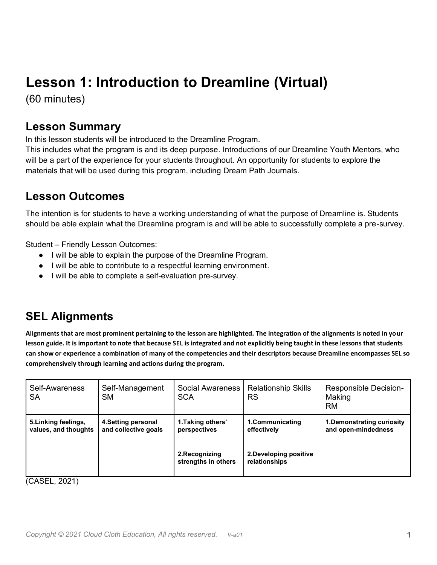# **Lesson 1: Introduction to Dreamline (Virtual)**

(60 minutes)

#### **Lesson Summary**

In this lesson students will be introduced to the Dreamline Program.

This includes what the program is and its deep purpose. Introductions of our Dreamline Youth Mentors, who will be a part of the experience for your students throughout. An opportunity for students to explore the materials that will be used during this program, including Dream Path Journals.

#### **Lesson Outcomes**

The intention is for students to have a working understanding of what the purpose of Dreamline is. Students should be able explain what the Dreamline program is and will be able to successfully complete a pre-survey.

Student – Friendly Lesson Outcomes:

- I will be able to explain the purpose of the Dreamline Program.
- I will be able to contribute to a respectful learning environment.
- I will be able to complete a self-evaluation pre-survey.

### **SEL Alignments**

**Alignments that are most prominent pertaining to the lesson are highlighted. The integration of the alignments is noted in your lesson guide. It is important to note that because SEL is integrated and not explicitly being taught in these lessons that students can show or experience a combination of many of the competencies and their descriptors because Dreamline encompasses SEL so comprehensively through learning and actions during the program.**

| Self-Awareness<br>SА                         | Self-Management<br><b>SM</b>                | <b>Social Awareness</b><br><b>SCA</b> | <b>Relationship Skills</b><br><b>RS</b> | <b>Responsible Decision-</b><br>Making<br><b>RM</b> |
|----------------------------------------------|---------------------------------------------|---------------------------------------|-----------------------------------------|-----------------------------------------------------|
| 5. Linking feelings,<br>values, and thoughts | 4. Setting personal<br>and collective goals | 1. Taking others'<br>perspectives     | 1.Communicating<br>effectively          | 1. Demonstrating curiosity<br>and open-mindedness   |
|                                              |                                             | 2. Recognizing<br>strengths in others | 2. Developing positive<br>relationships |                                                     |

(CASEL, 2021)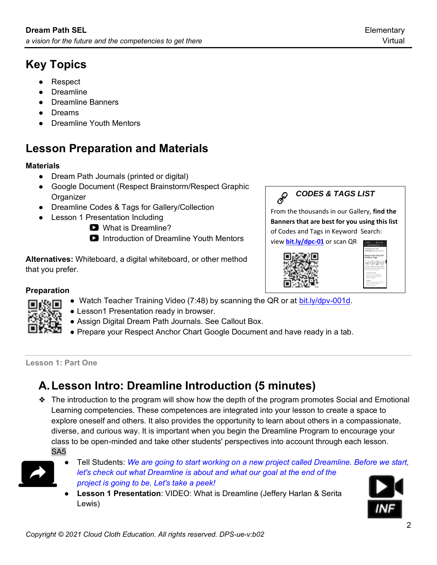- **Respect**
- **Dreamline**
- **Dreamline Banners**
- Dreams
- Dreamline Youth Mentors

## **Lesson Preparation and Materials**

#### **Materials**

- Dream Path Journals (printed or digital)
- Google Document (Respect Brainstorm/Respect Graphic **Organizer**
- Dreamline Codes & Tags for Gallery/Collection
- Lesson 1 Presentation Including
	- What is Dreamline?
	- **D** Introduction of Dreamline Youth Mentors

**Alternatives:** Whiteboard, a digital whiteboard, or other method that you prefer.



From the thousands in our Gallery, **find the Banners that are best for you using this list** of Codes and Tags in Keyword Search:

view **[bit.ly/dpc-01](http://bit.ly/dpc-01)** or scan QR





#### **Preparation**

- Watch Teacher Training Video (7:48) by scanning the QR or at [bit.ly/dpv-001d.](http://bit.ly/dpv-001d)
- Lesson1 Presentation ready in browser.
- Assign Digital Dream Path Journals. See Callout Box.
- Prepare your Respect Anchor Chart Google Document and have ready in a tab.

#### **Lesson 1: Part One**

## **A.Lesson Intro: Dreamline Introduction (5 minutes)**

❖ The introduction to the program will show how the depth of the program promotes Social and Emotional Learning competencies. These competences are integrated into your lesson to create a space to explore oneself and others. It also provides the opportunity to learn about others in a compassionate, diverse, and curious way. It is important when you begin the Dreamline Program to encourage your class to be open-minded and take other students' perspectives into account through each lesson. SA5



- Tell Students: We are going to start working on a new project called Dreamline. Before we start, *let's check out what Dreamline is about and what our goal at the end of the project is going to be. Let's take a peek!*
- **Lesson 1 Presentation**: VIDEO: What is Dreamline (Jeffery Harlan & Serita Lewis)

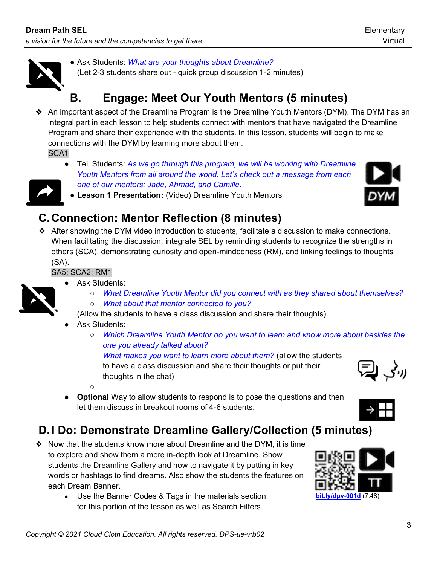

● Ask Students: *What are your thoughts about Dreamline?* (Let 2-3 students share out - quick group discussion 1-2 minutes)

## **B. Engage: Meet Our Youth Mentors (5 minutes)**

❖ An important aspect of the Dreamline Program is the Dreamline Youth Mentors (DYM). The DYM has an integral part in each lesson to help students connect with mentors that have navigated the Dreamline Program and share their experience with the students. In this lesson, students will begin to make connections with the DYM by learning more about them.

SCA1

● Tell Students: *As we go through this program, we will be working with Dreamline Youth Mentors from all around the world. Let's check out a message from each one of our mentors; Jade, Ahmad, and Camille.*



● **Lesson 1 Presentation:** (Video) Dreamline Youth Mentors

## **C.Connection: Mentor Reflection (8 minutes)**

❖ After showing the DYM video introduction to students, facilitate a discussion to make connections. When facilitating the discussion, integrate SEL by reminding students to recognize the strengths in others (SCA), demonstrating curiosity and open-mindedness (RM), and linking feelings to thoughts (SA).

SA5; SCA2; RM1



- Ask Students:
	- *What Dreamline Youth Mentor did you connect with as they shared about themselves?*
	- *What about that mentor connected to you?*

(Allow the students to have a class discussion and share their thoughts)

- Ask Students:
	- *Which Dreamline Youth Mentor do you want to learn and know more about besides the one you already talked about?*

*What makes you want to learn more about them?* (allow the students to have a class discussion and share their thoughts or put their thoughts in the chat)

 $\circ$ ● **Optional** Way to allow students to respond is to pose the questions and then let them discuss in breakout rooms of 4-6 students.

## **D.I Do: Demonstrate Dreamline Gallery/Collection (5 minutes)**

- ❖ Now that the students know more about Dreamline and the DYM, it is time to explore and show them a more in-depth look at Dreamline. Show students the Dreamline Gallery and how to navigate it by putting in key words or hashtags to find dreams. Also show the students the features on each Dream Banner.
	- Use the Banner Codes & Tags in the materials section for this portion of the lesson as well as Search Filters.





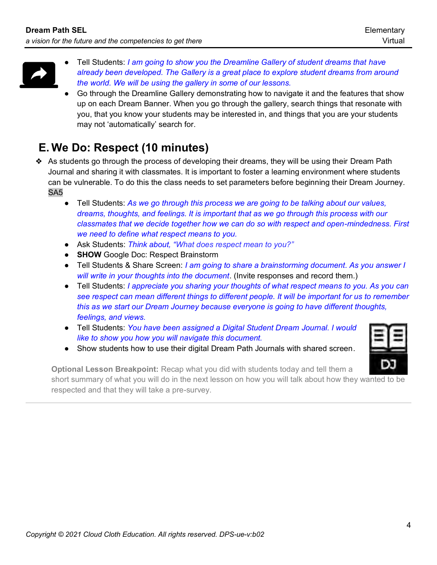

- Tell Students: *I am going to show you the Dreamline Gallery of student dreams that have already been developed. The Gallery is a great place to explore student dreams from around the world. We will be using the gallery in some of our lessons.*
- Go through the Dreamline Gallery demonstrating how to navigate it and the features that show up on each Dream Banner. When you go through the gallery, search things that resonate with you, that you know your students may be interested in, and things that you are your students may not 'automatically' search for.

## **E. We Do: Respect (10 minutes)**

- ❖ As students go through the process of developing their dreams, they will be using their Dream Path Journal and sharing it with classmates. It is important to foster a learning environment where students can be vulnerable. To do this the class needs to set parameters before beginning their Dream Journey. SA5
	- Tell Students: As we go through this process we are going to be talking about our values, *dreams, thoughts, and feelings. It is important that as we go through this process with our classmates that we decide together how we can do so with respect and open-mindedness. First we need to define what respect means to you.*
	- Ask Students: *Think about, "What does respect mean to you?"*
	- **SHOW** Google Doc: Respect Brainstorm
	- Tell Students & Share Screen: *I am going to share a brainstorming document. As you answer I will write in your thoughts into the document*. (Invite responses and record them.)
	- Tell Students: *I appreciate you sharing your thoughts of what respect means to you. As you can see respect can mean different things to different people. It will be important for us to remember this as we start our Dream Journey because everyone is going to have different thoughts, feelings, and views.*
	- Tell Students: *You have been assigned a Digital Student Dream Journal. I would like to show you how you will navigate this document.*
	- Show students how to use their digital Dream Path Journals with shared screen.



**Optional Lesson Breakpoint:** Recap what you did with students today and tell them a short summary of what you will do in the next lesson on how you will talk about how they wanted to be respected and that they will take a pre-survey.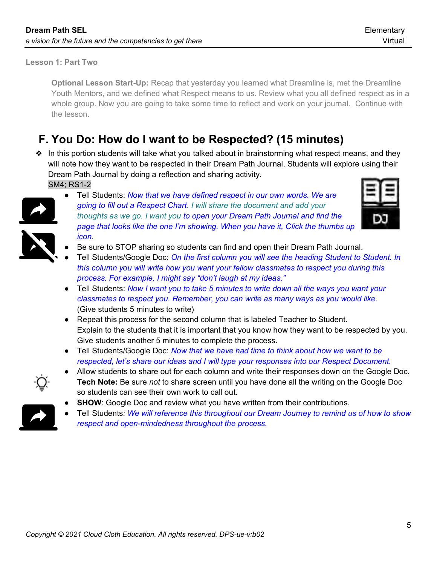#### **Lesson 1: Part Two**

**Optional Lesson Start-Up:** Recap that yesterday you learned what Dreamline is, met the Dreamline Youth Mentors, and we defined what Respect means to us. Review what you all defined respect as in a whole group. Now you are going to take some time to reflect and work on your journal. Continue with the lesson.

### **F. You Do: How do I want to be Respected? (15 minutes)**

❖ In this portion students will take what you talked about in brainstorming what respect means, and they will note how they want to be respected in their Dream Path Journal. Students will explore using their Dream Path Journal by doing a reflection and sharing activity. SM4; RS1-2



● Tell Students: *Now that we have defined respect in our own words. We are going to fill out a Respect Chart. I will share the document and add your thoughts as we go. I want you to open your Dream Path Journal and find the page that looks like the one I'm showing. When you have it, Click the thumbs up icon.*



- Be sure to STOP sharing so students can find and open their Dream Path Journal.
- Tell Students/Google Doc: On the first column you will see the heading Student to Student. In *this column you will write how you want your fellow classmates to respect you during this process. For example, I might say "don't laugh at my ideas."*
- Tell Students: *Now I want you to take 5 minutes to write down all the ways you want your classmates to respect you. Remember, you can write as many ways as you would like.*  (Give students 5 minutes to write)
- Repeat this process for the second column that is labeled Teacher to Student. Explain to the students that it is important that you know how they want to be respected by you. Give students another 5 minutes to complete the process.
- Tell Students/Google Doc: *Now that we have had time to think about how we want to be respected, let's share our ideas and I will type your responses into our Respect Document.*



- Allow students to share out for each column and write their responses down on the Google Doc. **Tech Note:** Be sure *not* to share screen until you have done all the writing on the Google Doc so students can see their own work to call out.
- **SHOW**: Google Doc and review what you have written from their contributions.
- Tell Students: We will reference this throughout our Dream Journey to remind us of how to show *respect and open-mindedness throughout the process.*